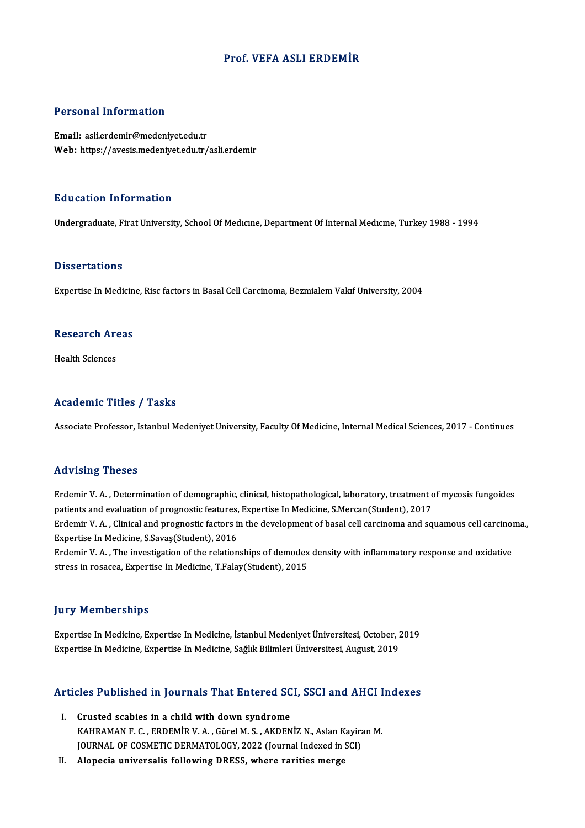## Prof. VEFA ASLI ERDEMİR

#### Personal Information

Email: asli.erdemir@medeniyet.edu.tr Web: https://avesis.medeniyet.edu.tr/asli.erdemir

#### Education Information

Undergraduate, Firat University, School Of Medicine, Department Of Internal Medicine, Turkey 1988 - 1994

#### **Dissertations**

Expertise In Medicine, Risc factors in Basal Cell Carcinoma, Bezmialem Vakıf University, 2004

## experuse in Medicin<br>Research Areas R<mark>esearch Ar</mark><br>Health Sciences

## Academic Titles / Tasks

Associate Professor, Istanbul Medeniyet University, Faculty Of Medicine, Internal Medical Sciences, 2017 - Continues

### Advising Theses

Advising Theses<br>Erdemir V. A. , Determination of demographic, clinical, histopathological, laboratory, treatment of mycosis fungoides<br>patients and evaluation of pregnestis features, Evperties In Medisine, S.Mersen(Student) patients and evaluation of demographic, clinical, histopathological, laboratory, treatment of the extension of prognostic features, Expertise In Medicine, S.Mercan(Student), 2017<br>Program M. A., Clinical and prognostic feat Erdemir V. A. , Determination of demographic, clinical, histopathological, laboratory, treatment of mycosis fungoides<br>patients and evaluation of prognostic features, Expertise In Medicine, S.Mercan(Student), 2017<br>Erdemir V patients and evaluation of prognostic features, Expertise In Medicine, S.Mercan(Student), 2017<br>Erdemir V. A. , Clinical and prognostic factors in the development of basal cell carcinoma and squamous cell carcinoma.,<br>Expert Erdemir V. A. , Clinical and prognostic factors in the development of basal cell carcinoma and squamous cell carcinon<br>Expertise In Medicine, S.Savaş(Student), 2016<br>Erdemir V. A. , The investigation of the relationships of Expertise In Medicine, S.Savaş(Student), 2016<br>Erdemir V. A. , The investigation of the relationships of demodex<br>stress in rosacea, Expertise In Medicine, T.Falay(Student), 2015

## stress in rosacea, Expertise In Medicine, T.Falay(Student), 2015<br>Jury Memberships

**Jury Memberships<br>Expertise In Medicine, Expertise In Medicine, İstanbul Medeniyet Üniversitesi, October, 2019<br>Expertise In Medicine, Expertise In Medicine, Sağlık Bilimleri Üniversitesi, Aygust, 2019** Jury Tromporumpu<br>Expertise In Medicine, Expertise In Medicine, İstanbul Medeniyet Üniversitesi, October, 2<br>Expertise In Medicine, Expertise In Medicine, Sağlık Bilimleri Üniversitesi, August, 2019

# experuse in Medicine, experuse in Medicine, saglik Billimeri Universitesi, August, 2019<br>Articles Published in Journals That Entered SCI, SSCI and AHCI Indexes

- The Fublished in Journals That Entered SC<br>I. Crusted scabies in a child with down syndrome<br>EAUDAMANE C. ERDEMIR V.A. Cürel M.S. AEDEN XCS TUSHSHOU III JOUTHUIS THUC ENTER OUT, SSOT UNU THIOT I<br>Crusted scabies in a child with down syndrome<br>KAHRAMAN F. C., ERDEMIR V. A., Gürel M. S., AKDENİZ N., Aslan Kayiran M.<br>JOUPMAL OF COSMETIC DEPMATOLOGY 2022 (Journa Crusted scabies in a child with down syndrome<br>KAHRAMAN F. C. , ERDEMİR V. A. , Gürel M. S. , AKDENİZ N., Aslan Kayira<br>JOURNAL OF COSMETIC DERMATOLOGY, 2022 (Journal Indexed in SCI)<br>Alonesis universalis following DRESS, who JOURNAL OF COSMETIC DERMATOLOGY, 2022 (Journal Indexed in SCI)<br>II. Alopecia universalis following DRESS, where rarities merge
-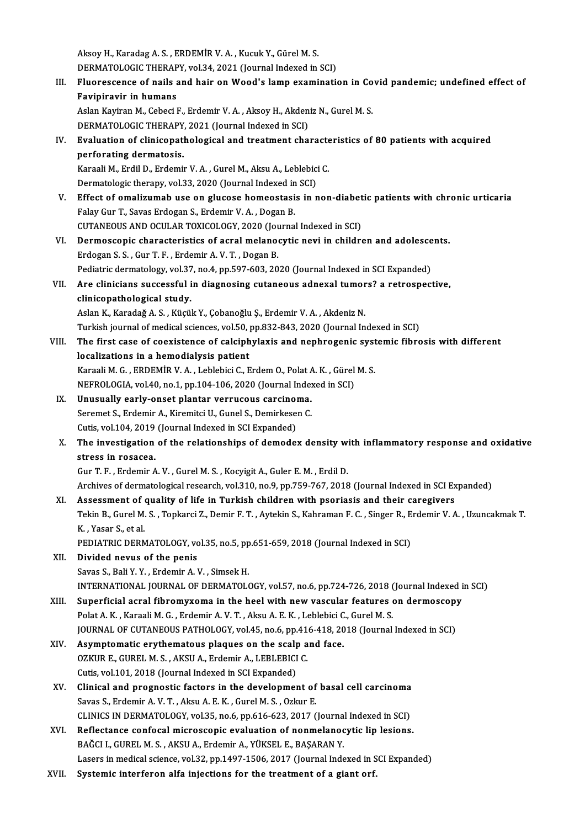AksoyH.,KaradagA.S. ,ERDEMİRV.A. ,KucukY.,GürelM.S. Aksoy H., Karadag A. S. , ERDEMİR V. A. , Kucuk Y., Gürel M. S.<br>DERMATOLOGIC THERAPY, vol.34, 2021 (Journal Indexed in SCI)<br>Eluenessense of nails and bair en Weed's lamn exeminati

Aksoy H., Karadag A. S. , ERDEMİR V. A. , Kucuk Y., Gürel M. S.<br>DERMATOLOGIC THERAPY, vol.34, 2021 (Journal Indexed in SCI)<br>III. Pluorescence of nails and hair on Wood's lamp examination in Covid pandemic; undefined effect **DERMATOLOGIC THERAP**<br>Fluorescence of nails a<br>Favipiravir in humans<br>Aslan Kaviran M. Cobesi l Fluorescence of nails and hair on Wood's lamp examination in Co<br>Favipiravir in humans<br>Aslan Kayiran M., Cebeci F., Erdemir V. A. , Aksoy H., Akdeniz N., Gurel M. S.<br>DEPMATOLOCIC THERAPY 2021 (Journal Indoved in SCD

Favipiravir in humans<br>Aslan Kayiran M., Cebeci F., Erdemir V. A. , Aksoy H., Akdeniz N., Gurel M. S.<br>DERMATOLOGIC THERAPY, 2021 (Journal Indexed in SCI)

Aslan Kayiran M., Cebeci F., Erdemir V. A. , Aksoy H., Akdeniz N., Gurel M. S.<br>DERMATOLOGIC THERAPY, 2021 (Journal Indexed in SCI)<br>IV. Evaluation of clinicopathological and treatment characteristics of 80 patients with acq **DERMATOLOGIC THERAPY<br>Evaluation of clinicopat<br>perforating dermatosis.**<br>Karaali M. Erdil D. Erdomi Evaluation of clinicopathological and treatment characte<br>perforating dermatosis.<br>Karaali M., Erdil D., Erdemir V. A. , Gurel M., Aksu A., Leblebici C.<br>Dermatologis thereny, vol.22, 2020 (Journal Indoved in SCI)

perforating dermatosis.<br>Karaali M., Erdil D., Erdemir V. A. , Gurel M., Aksu A., Leblebic:<br>Dermatologic therapy, vol.33, 2020 (Journal Indexed in SCI)<br>Effect of amelizumab use on slugese bemeestesis in r

Karaali M., Erdil D., Erdemir V. A. , Gurel M., Aksu A., Leblebici C.<br>Dermatologic therapy, vol.33, 2020 (Journal Indexed in SCI)<br>V. Effect of omalizumab use on glucose homeostasis in non-diabetic patients with chronic urt Dermatologic therapy, vol.33, 2020 (Journal Indexed in<br>Effect of omalizumab use on glucose homeostasi<br>Falay Gur T., Savas Erdogan S., Erdemir V. A. , Dogan B.<br>CUTANEOUS AND OCULAR TOYICOLOCY 2020 (Journal Effect of omalizumab use on glucose homeostasis in non-diabet<br>Falay Gur T., Savas Erdogan S., Erdemir V. A. , Dogan B.<br>CUTANEOUS AND OCULAR TOXICOLOGY, 2020 (Journal Indexed in SCI)<br>Dermossenis share staristics of earsl ma Falay Gur T., Savas Erdogan S., Erdemir V. A. , Dogan B.<br>CUTANEOUS AND OCULAR TOXICOLOGY, 2020 (Journal Indexed in SCI)<br>VI. Dermoscopic characteristics of acral melanocytic nevi in children and adolescents.<br>Frieggan S. S.

CUTANEOUS AND OCULAR TOXICOLOGY, 2020 (Journ Dermoscopic characteristics of acral melanom<br>Erdogan S. S., Gur T. F., Erdemir A. V. T., Dogan B.<br>Bediatric dermotelegy, yol 27, no 4, np 507,602,20 Dermoscopic characteristics of acral melanocytic nevi in children and adolesce<br>Erdogan S. S. , Gur T. F. , Erdemir A. V. T. , Dogan B.<br>Pediatric dermatology, vol.37, no.4, pp.597-603, 2020 (Journal Indexed in SCI Expanded) Erdogan S. S., Gur T. F., Erdemir A. V. T., Dogan B.<br>Pediatric dermatology, vol.37, no.4, pp.597-603, 2020 (Journal Indexed in SCI Expanded)<br>VII. Are clinicians successful in diagnosing cutaneous adnexal tumors? a retrospe Pediatric dermatology, vol.37, no.4, pp.597-603, 2020 (Journal Indexed in SCI Expanded)

## Aslan K., Karadağ A. S., Küçük Y., Çobanoğlu Ş., Erdemir V. A., Akdeniz N. cli<mark>nicopathological study.</mark><br>Aslan K., Karadağ A. S. , Küçük Y., Çobanoğlu Ş., Erdemir V. A. , Akdeniz N.<br>Turkish journal of medical sciences, vol.50, pp.832-843, 2020 (Journal Indexed in SCI)<br>The finst sees of soovistence

VIII. The first case of coexistence of calciphylaxis and nephrogenic systemic fibrosis with different localizations in a hemodialysis patient Turkish journal of medical sciences, vol.50, The first case of coexistence of calciph<br>localizations in a hemodialysis patient<br>Karaali M.C., EPDEMIP V.A., Loblabisi C. E The first case of coexistence of calciphylaxis and nephrogenic syst<br>localizations in a hemodialysis patient<br>Karaali M. G. , ERDEMİR V. A. , Leblebici C., Erdem O., Polat A. K. , Gürel M. S.<br>NEEPOLOCIA. vol.40, po.1, pp.104 localizations in a hemodialysis patient<br>Karaali M. G. , ERDEMİR V. A. , Leblebici C., Erdem O., Polat A. K. , Gürel<br>NEFROLOGIA, vol.40, no.1, pp.104-106, 2020 (Journal Indexed in SCI)<br>Unusually early enset planter verruseu

Karaali M. G., ERDEMIR V. A., Leblebici C., Erdem O., Polat A<br>NEFROLOGIA, vol.40, no.1, pp.104-106, 2020 (Journal Index<br>IX. Unusually early-onset plantar verrucous carcinoma.<br>Seremet S. Erdemir A. Kiremitei H. Cunal S. Dem NEFROLOGIA, vol.40, no.1, pp.104-106, 2020 (Journal Indexed in SCI)<br>IX. Unusually early-onset plantar verrucous carcinoma. Seremet S., Erdemir A., Kiremitci U., Gunel S., Demirkesen C. Cutis, vol. 104, 2019 (Journal Indexed in SCI Expanded)

## X. The investigation of the relationships of demodex density with inflammatory response and oxidative

GurT.F. ,ErdemirA.V. ,GurelM.S. ,KocyigitA.,Guler E.M. ,ErdilD.

Archives of dermatological research, vol.310, no.9, pp.759-767, 2018 (Journal Indexed in SCI Expanded)

Gur T. F., Erdemir A. V., Gurel M. S., Kocyigit A., Guler E. M., Erdil D.<br>Archives of dermatological research, vol.310, no.9, pp.759-767, 2018 (Journal Indexed in SCI Ex<br>XI. Assessment of quality of life in Turkish childre

Archives of dermatological research, vol.310, no.9, pp.759-767, 2018 (Journal Indexed in SCI Expanded)<br>Assessment of quality of life in Turkish children with psoriasis and their caregivers<br>Tekin B., Gurel M. S. , Topkarci Assessment of<br>Tekin B., Gurel M.<br>K. , Yasar S., et al.<br>PEDIATRIC DERA Tekin B., Gurel M. S. , Topkarci Z., Demir F. T. , Aytekin S., Kahraman F. C. , Singer R., E<br>K. , Yasar S., et al.<br>PEDIATRIC DERMATOLOGY, vol.35, no.5, pp.651-659, 2018 (Journal Indexed in SCI)<br>Divided nevys of the penis

PEDIATRIC DERMATOLOGY, vol.35, no.5, pp.651-659, 2018 (Journal Indexed in SCI)

- K. , Yasar S., et al.<br>PEDIATRIC DERMATOLOGY, vol.35, no.5, pp<br>XII. Divided nevus of the penis<br>Savas S., Bali Y. Y. , Erdemir A. V. , Simsek H. Divided nevus of the penis<br>Savas S., Bali Y. Y. , Erdemir A. V. , Simsek H.<br>INTERNATIONAL JOURNAL OF DERMATOLOGY, vol.57, no.6, pp.724-726, 2018 (Journal Indexed in SCI)<br>Superficial agral fibromyyoma in the bool with now y
- Savas S., Bali Y. Y. , Erdemir A. V. , Simsek H.<br>INTERNATIONAL JOURNAL OF DERMATOLOGY, vol.57, no.6, pp.724-726, 2018 (Journal Indexed in Superficial acral fibromyxoma in the heel with new vascular features on dermoscopy<br>R INTERNATIONAL JOURNAL OF DERMATOLOGY, vol.57, no.6, pp.724-726, 2018 (<br>Superficial acral fibromyxoma in the heel with new vascular features (<br>Polat A. K. , Karaali M. G. , Erdemir A. V. T. , Aksu A. E. K. , Leblebici C., G Superficial acral fibromyxoma in the heel with new vascular features on dermoscopy<br>Polat A. K. , Karaali M. G. , Erdemir A. V. T. , Aksu A. E. K. , Leblebici C., Gurel M. S.<br>JOURNAL OF CUTANEOUS PATHOLOGY, vol.45, no.6, pp

- Polat A. K., Karaali M. G., Erdemir A. V. T., Aksu A. E. K., Leblebici C<br>JOURNAL OF CUTANEOUS PATHOLOGY, vol.45, no.6, pp.416-418, 20<br>XIV. Asymptomatic erythematous plaques on the scalp and face.<br>OZKUP E. CUPEL M. S., AKSU JOURNAL OF CUTANEOUS PATHOLOGY, vol.45, no.6, pp.41<br>Asymptomatic erythematous plaques on the scalp a<br>OZKUR E., GUREL M. S. , AKSU A., Erdemir A., LEBLEBICI C.<br>Cutie vel.101-2018 (Journal Indoved in SCL Expanded) Asymptomatic erythematous plaques on the scalp<br>OZKUR E., GUREL M. S., AKSU A., Erdemir A., LEBLEBICI<br>Cutis, vol.101, 2018 (Journal Indexed in SCI Expanded)<br>Clinical and prognastic factors in the development OZKUR E., GUREL M. S., AKSU A., Erdemir A., LEBLEBICI C.<br>Cutis, vol.101, 2018 (Journal Indexed in SCI Expanded)<br>XV. Clinical and prognostic factors in the development of basal cell carcinoma<br>Seves S. Exdemin A. V. T. Alra
- Cutis, vol.101, 2018 (Journal Indexed in SCI Expanded)<br>Clinical and prognostic factors in the development of<br>Savas S., Erdemir A. V. T. , Aksu A. E. K. , Gurel M. S. , Ozkur E.<br>CLINICS IN DEPMATOLOCY vol.25, no 6, nn 616, Savas S., Erdemir A. V. T. , Aksu A. E. K. , Gurel M. S. , Ozkur E.<br>CLINICS IN DERMATOLOGY, vol.35, no.6, pp.616-623, 2017 (Journal Indexed in SCI) Savas S., Erdemir A. V. T., Aksu A. E. K., Gurel M. S., Ozkur E.<br>CLINICS IN DERMATOLOGY, vol.35, no.6, pp.616-623, 2017 (Journal Indexed in SCI)<br>XVI. Reflectance confocal microscopic evaluation of nonmelanocytic lip lesion
- CLINICS IN DERMATOLOGY, vol.35, no.6, pp.616-623, 2017 (Journal<br>Reflectance confocal microscopic evaluation of nonmelanoc<br>BAĞCI I., GUREL M. S., AKSU A., Erdemir A., YÜKSEL E., BAŞARAN Y.<br>Lasars in medical science, vol.32, BAĞCI I., GUREL M. S. , AKSU A., Erdemir A., YÜKSEL E., BAŞARAN Y.<br>Lasers in medical science, vol.32, pp.1497-1506, 2017 (Journal Indexed in SCI Expanded)
- XVII. Systemic interferon alfa injections for the treatment of a giant orf.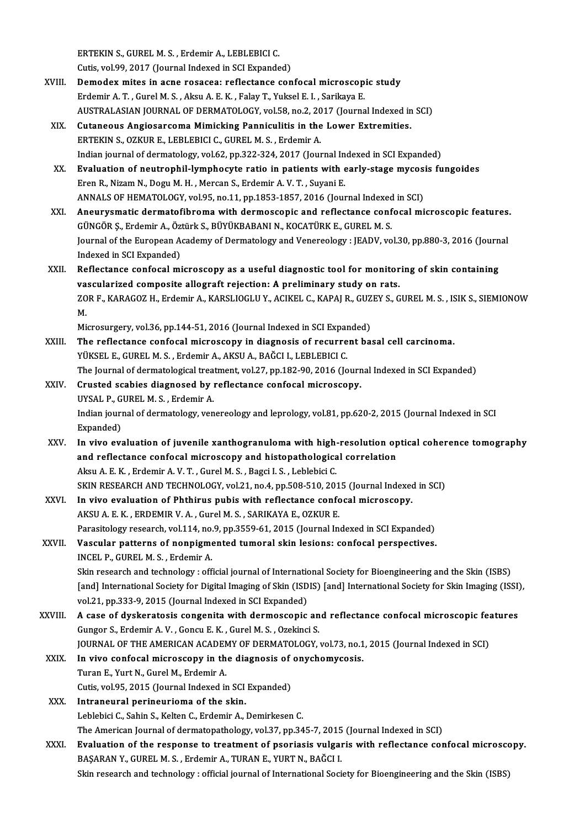ERTEKINS.,GURELM.S. ,ErdemirA.,LEBLEBICIC.

Cutis, vol.99, 2017 (Journal Indexed in SCI Expanded)

- XVIII. Demodex mites in acne rosacea: reflectance confocal microscopic study ErdemirA.T. ,GurelM.S. ,AksuA.E.K. ,FalayT.,YukselE. I. ,SarikayaE. AUSTRALASIAN JOURNAL OF DERMATOLOGY, vol.58, no.2, 2017 (Journal Indexed in SCI)
	- XIX. Cutaneous AngiosarcomaMimicking Panniculitis in the Lower Extremities. ERTEKIN S., OZKUR E., LEBLEBICI C., GUREL M. S., Erdemir A. Indian journal of dermatology, vol.62, pp.322-324, 2017 (Journal Indexed in SCI Expanded) ERTEKIN S., OZKUR E., LEBLEBICI C., GUREL M. S., Erdemir A.<br>Indian journal of dermatology, vol.62, pp.322-324, 2017 (Journal Indexed in SCI Expanded)<br>XX. Evaluation of neutrophil-lymphocyte ratio in patients with early-sta
	- Eren R., Nizam N., Dogu M. H. , Mercan S., Erdemir A. V. T. , Suyani E.<br>ANNALS OF HEMATOLOGY, vol.95, no.11, pp.1853-1857, 2016 (Journal Indexed in SCI) Evaluation of neutrophil-lymphocyte ratio in patients with early-stage mycos:<br>Eren R., Nizam N., Dogu M. H. , Mercan S., Erdemir A. V. T. , Suyani E.<br>ANNALS OF HEMATOLOGY, vol.95, no.11, pp.1853-1857, 2016 (Journal Indexed
- XXI. Aneurysmatic dermatofibroma with dermoscopic and reflectance confocalmicroscopic features. GÜNGÖR Ş., Erdemir A., Öztürk S., BÜYÜKBABANI N., KOCATÜRK E., GUREL M. S. Aneurysmatic dermatofibroma with dermoscopic and reflectance confocal microscopic features.<br>GÜNGÖR Ş., Erdemir A., Öztürk S., BÜYÜKBABANI N., KOCATÜRK E., GUREL M. S.<br>Journal of the European Academy of Dermatology and Vene GÜNGÖR Ş., Erdemir A., Öz<br>Journal of the European A<br>Indexed in SCI Expanded)<br>Poflestance confosal mi Journal of the European Academy of Dermatology and Venereology : JEADV, vol.30, pp.880-3, 2016 (Journ<br>Indexed in SCI Expanded)<br>XXII. Reflectance confocal microscopy as a useful diagnostic tool for monitoring of skin contai Indexed in SCI Expanded)<br>Reflectance confocal microscopy as a useful diagnostic tool for monitoring of skin containing
- Reflectance confocal microscopy as a useful diagnostic tool for monitoring of skin containing<br>vascularized composite allograft rejection: A preliminary study on rats.<br>ZOR F., KARAGOZ H., Erdemir A., KARSLIOGLU Y., ACIKEL C vascularized composite allograft rejection: A preliminary study on rats.<br>ZOR F., KARAGOZ H., Erdemir A., KARSLIOGLU Y., ACIKEL C., KAPAJ R., GUZEY S., G<br>M. ZOR F., KARAGOZ H., Erdemir A., KARSLIOGLU Y., ACIKEL C., KAPAJ R., GUZ<br>M.<br>Microsurgery, vol.36, pp.144-51, 2016 (Journal Indexed in SCI Expanded)<br>The reflectance confocal microscopy in diagnosis of requyrent he

Microsurgery, vol.36, pp.144-51, 2016 (Journal Indexed in SCI Expanded)

- XXIII. The reflectance confocal microscopy in diagnosis of recurrent basal cell carcinoma.<br>YÜKSEL E., GUREL M. S., Erdemir A., AKSU A., BAĞCI I., LEBLEBICI C. The Journal of dermatological treatment, vol.27, pp.182-90, 2016 (Journal Indexed in SCI Expanded) YÜKSEL E., GUREL M. S. , Erdemir A., AKSU A., BAĞCI I., LEBLEBICI C.<br>The Journal of dermatological treatment, vol.27, pp.182-90, 2016 (Journ<br>XXIV. Crusted scabies diagnosed by reflectance confocal microscopy.
- The Journal of dermatological trea<br>Crusted scabies diagnosed by i<br>UYSAL P., GUREL M. S. , Erdemir A.<br>Indian journal of dermatology, you Crusted scabies diagnosed by reflectance confocal microscopy.<br>UYSAL P., GUREL M. S. , Erdemir A.<br>Indian journal of dermatology, venereology and leprology, vol.81, pp.620-2, 2015 (Journal Indexed in SCI<br>Eynanded) UYSAL P., G<br>Indian journ<br>Expanded)<br>In rive ev
- XXV. In vivo evaluation of juvenile xanthogranuloma with high-resolution optical coherence tomography Expanded)<br>In vivo evaluation of juvenile xanthogranuloma with high-resolution op<br>and reflectance confocal microscopy and histopathological correlation<br>Alsu A.E.K., Erdemir A.V.T., Gurel M.S., Paggi L.S., Leblebigi G In vivo evaluation of juvenile xanthogranuloma with high-<br>and reflectance confocal microscopy and histopathologica<br>Aksu A. E. K. , Erdemir A. V. T. , Gurel M. S. , Bagci I. S. , Leblebici C.<br>SVIN RESEARCH AND TECUNOLOCY vo and reflectance confocal microscopy and histopathological correlation<br>Aksu A. E. K. , Erdemir A. V. T. , Gurel M. S. , Bagci I. S. , Leblebici C.<br>SKIN RESEARCH AND TECHNOLOGY, vol.21, no.4, pp.508-510, 2015 (Journal Indexe Aksu A. E. K., Erdemir A. V. T., Gurel M. S., Bagci I. S., Leblebici C.<br>SKIN RESEARCH AND TECHNOLOGY, vol.21, no.4, pp.508-510, 2015 (Journal Indexedent XXVI.<br>In vivo evaluation of Phthirus pubis with reflectance confocal
- SKIN RESEARCH AND TECHNOLOGY, vol.21, no.4, pp.508-510, 201<br>In vivo evaluation of Phthirus pubis with reflectance conformation of Phthirus pubis with reflectance conformation.<br>AKSU A. E. K. , ERDEMIR V. A. , Gurel M. S. , AKSU A. E. K., ERDEMIR V. A., Gurel M. S., SARIKAYA E., OZKUR E.<br>Parasitology research, vol.114, no.9, pp.3559-61, 2015 (Journal Indexed in SCI Expanded) AKSU A. E. K. , ERDEMIR V. A. , Gurel M. S. , SARIKAYA E., OZKUR E.<br>Parasitology research, vol.114, no.9, pp.3559-61, 2015 (Journal Indexed in SCI Expanded)<br>XXVII. Vascular patterns of nonpigmented tumoral skin lesions: co
- Parasitology research, vol.114, no.<br>Vascular patterns of nonpigme<br>INCEL P., GUREL M. S. , Erdemir A. INCEL P., GUREL M. S. , Erdemir A.<br>Skin research and technology : official journal of International Society for Bioengineering and the Skin (ISBS) INCEL P., GUREL M. S. , Erdemir A.<br>Skin research and technology : official journal of International Society for Bioengineering and the Skin (ISBS)<br>[and] International Society for Digital Imaging of Skin (ISDIS) [and] Inter Skin research and technology : official journal of Internatio<br>[and] International Society for Digital Imaging of Skin (ISD<br>vol.21, pp.333-9, 2015 (Journal Indexed in SCI Expanded) [and] International Society for Digital Imaging of Skin (ISDIS) [and] International Society for Skin Imaging (ISSI)<br>vol.21, pp.333-9, 2015 (Journal Indexed in SCI Expanded)<br>XXVIII. A case of dyskeratosis congenita with der
- vol.21, pp.333-9, 2015 (Journal Indexed in SCI Expanded)<br>A case of dyskeratosis congenita with dermoscopic an<br>Gungor S., Erdemir A. V. , Goncu E. K. , Gurel M. S. , Ozekinci S. A case of dyskeratosis congenita with dermoscopic and reflectance confocal microscopic features Gungor S., Erdemir A. V., Goncu E. K., Gurel M. S., Ozekinci S.<br>JOURNAL OF THE AMERICAN ACADEMY OF DERMATOLOGY, vol.73, no.1<br>XXIX. In vivo confocal microscopy in the diagnosis of onychomycosis.<br>Turan E. Vurt N. Gurel M. Er
- JOURNAL OF THE AMERICAN ACADEMY OF DERMATOLOGY, vol.73, no.1, 2015 (Journal Indexed in SCI)<br>In vivo confocal microscopy in the diagnosis of onychomycosis.<br>Turan E., Yurt N., Gurel M., Erdemir A.<br>Cutis. vol.95. 2015 (Journa In vivo confocal microscopy in the diagnosis of<br>Turan E., Yurt N., Gurel M., Erdemir A.<br>Cutis, vol.95, 2015 (Journal Indexed in SCI Expanded)<br>Intranoural norinouriams of the skin
- XXX. Intraneural perineurioma of the skin. Leblebici C., Sahin S., Kelten C., Erdemir A., Demirkesen C. I<mark>ntraneural perineurioma of the skin.</mark><br>Leblebici C., Sahin S., Kelten C., Erdemir A., Demirkesen C.<br>The American Journal of dermatopathology, vol.37, pp.345-7, 2015 (Journal Indexed in SCI)<br>Evaluation of the response to t
- Leblebici C., Sahin S., Kelten C., Erdemir A., Demirkesen C.<br>The American Journal of dermatopathology, vol.37, pp.345-7, 2015 (Journal Indexed in SCI)<br>XXXI. Evaluation of the response to treatment of psoriasis vulgaris wit The American Journal of dermatopathology, vol.37, pp.345-7, 2015<br>Evaluation of the response to treatment of psoriasis vulgar<br>BAŞARAN Y., GUREL M. S. , Erdemir A., TURAN E., YURT N., BAĞCI I.<br>Skip ressarsh and teshnology : Evaluation of the response to treatment of psoriasis vulgaris with reflectance confocal microsco<br>BAŞARAN Y., GUREL M. S. , Erdemir A., TURAN E., YURT N., BAĞCI I.<br>Skin research and technology : official journal of Internat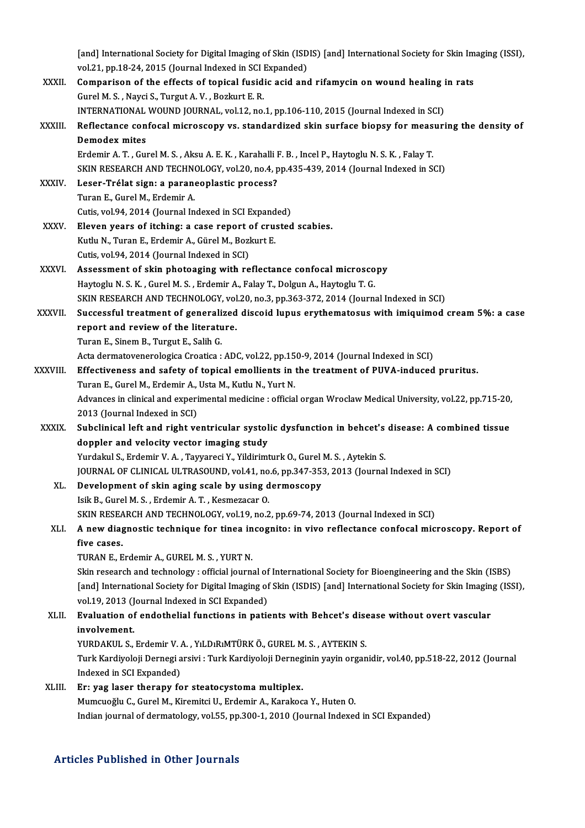[and] International Society for Digital Imaging of Skin (ISDIS) [and] International Society for Skin Imaging (ISSI),<br>vol 31, pp.18.34.2015 (Journal Indoved in SCI Expanded) [and] International Society for Digital Imaging of Skin (ISD<br>vol.21, pp.18-24, 2015 (Journal Indexed in SCI Expanded)<br>Companison of the offects of tenisel fusidie esid and [and] International Society for Digital Imaging of Skin (ISDIS) [and] International Society for Skin Im<br>vol.21, pp.18-24, 2015 (Journal Indexed in SCI Expanded)<br>XXXII. Comparison of the effects of topical fusidic acid and vol.21, pp.18-24, 2015 (Journal Indexed in SCI Expanded)<br>Comparison of the effects of topical fusidic acid an<br>Gurel M. S., Nayci S., Turgut A. V., Bozkurt E. R. Comparison of the effects of topical fusidic acid and rifamycin on wound healing in rats Gurel M. S. , Nayci S., Turgut A. V. , Bozkurt E. R.<br>INTERNATIONAL WOUND JOURNAL, vol.12, no.1, pp.106-110, 2015 (Journal Indexed in SCI)<br>XXXIII. Reflectance confocal microscopy vs. standardized skin surface biopsy for INTERNATIONAL WOUND JOURNAL, vol.12, no.1, pp.106-110, 2015 (Journal Indexed in SCI)<br>Reflectance confocal microscopy vs. standardized skin surface biopsy for measur<br>Demodex mites<br>Erdemir A. T. , Gurel M. S. , Aksu A. E. K. Reflectance confocal microscopy vs. standardized skin surface biopsy for meas<br>Demodex mites<br>Erdemir A. T. , Gurel M. S. , Aksu A. E. K. , Karahalli F. B. , Incel P., Haytoglu N. S. K. , Falay T.<br>SKIN RESEARCH AND TECHNOLOC Demodex mites<br>Erdemir A. T. , Gurel M. S. , Aksu A. E. K. , Karahalli F. B. , Incel P., Haytoglu N. S. K. , Falay T.<br>SKIN RESEARCH AND TECHNOLOGY, vol.20, no.4, pp.435-439, 2014 (Journal Indexed in SCI)<br>Loser Trélat sign: Erdemir A. T. , Gurel M. S. , Aksu A. E. K. , Karahalli I<br>SKIN RESEARCH AND TECHNOLOGY, vol.20, no.4, p<br>XXXIV. Leser-Trélat sign: a paraneoplastic process?<br>Turan E. Curel M. Erdemir A. SKIN RESEARCH AND TECHN<br>Leser-Trélat sign: a paran<br>Turan E., Gurel M., Erdemir A.<br>Cutie vel 94, 2014 (Journal In XXXIV. Leser-Trélat sign: a paraneoplastic process?<br>Turan E., Gurel M., Erdemir A.<br>Cutis, vol.94, 2014 (Journal Indexed in SCI Expanded) XXXV. Eleven years of itching: a case report of crusted scabies. Cutis, vol.94, 2014 (Journal Indexed in SCI Expand<br>Eleven years of itching: a case report of cru:<br>Kutlu N., Turan E., Erdemir A., Gürel M., Bozkurt E.<br>Cutis val 04, 2014 (Journal Indexed in SCI) Eleven years of itching: a case report of<br>Kutlu N., Turan E., Erdemir A., Gürel M., Bozl<br>Cutis, vol.94, 2014 (Journal Indexed in SCI) Kutlu N., Turan E., Erdemir A., Gürel M., Bozkurt E.<br>Cutis, vol.94, 2014 (Journal Indexed in SCI)<br>XXXVI. Assessment of skin photoaging with reflectance confocal microscopy<br>Hautaglu N.S. K., Curel M.S., Erdemir A. Falau T. Cutis, vol.94, 2014 (Journal Indexed in SCI)<br>Assessment of skin photoaging with reflectance confocal microsco<br>Haytoglu N. S. K. , Gurel M. S. , Erdemir A., Falay T., Dolgun A., Haytoglu T. G.<br>SKIN RESEARCH AND TECHNOLOCY, Assessment of skin photoaging with reflectance confocal microscopy<br>Haytoglu N. S. K. , Gurel M. S. , Erdemir A., Falay T., Dolgun A., Haytoglu T. G.<br>SKIN RESEARCH AND TECHNOLOGY, vol.20, no.3, pp.363-372, 2014 (Journal Ind Haytoglu N. S. K. , Gurel M. S. , Erdemir A., Falay T., Dolgun A., Haytoglu T. G.<br>SKIN RESEARCH AND TECHNOLOGY, vol.20, no.3, pp.363-372, 2014 (Journal Indexed in SCI)<br>XXXVII. Successful treatment of generalized discoid lu SKIN RESEARCH AND TECHNOLOGY, vol<br>Successful treatment of generalized<br>report and review of the literature.<br>Turan E. Sinam B. Turaut E. Solib C. Successful treatment of generali<br>report and review of the literatu<br>Turan E., Sinem B., Turgut E., Salih G.<br>Asta dermatevenerelegies Creatica L report and review of the literature.<br>Turan E., Sinem B., Turgut E., Salih G.<br>Acta dermatovenerologica Croatica : ADC, vol.22, pp.150-9, 2014 (Journal Indexed in SCI) Turan E., Sinem B., Turgut E., Salih G.<br>Acta dermatovenerologica Croatica : ADC, vol.22, pp.150-9, 2014 (Journal Indexed in SCI)<br>XXXVIII. Effectiveness and safety of topical emollients in the treatment of PUVA-induced prur Acta dermatovenerologica Croatica : ADC, vol.22, pp.15<br>Effectiveness and safety of topical emollients in<br>Turan E., Gurel M., Erdemir A., Usta M., Kutlu N., Yurt N.<br>Advances in clinical and evperimental medicine : official Advances in clinical and experimental medicine : official organ Wroclaw Medical University, vol.22, pp.715-20,<br>2013 (Journal Indexed in SCI) Turan E., Gurel M., Erdemir A., Usta M., Kutlu N., Yurt N. Advances in clinical and experimental medicine : official organ Wroclaw Medical University, vol.22, pp.715-20,<br>2013 (Journal Indexed in SCI)<br>XXXIX. Subclinical left and right ventricular systolic dysfunction in behcet's di 2013 (Journal Indexed in SCI)<br>Subclinical left and right ventricular systol<br>doppler and velocity vector imaging study<br>Yurdalul S. Erdomin V. A. Townnesi V. Vildinimt Subclinical left and right ventricular systolic dysfunction in behcet's<br>doppler and velocity vector imaging study<br>Yurdakul S., Erdemir V. A. , Tayyareci Y., Yildirimturk O., Gurel M. S. , Aytekin S.<br>JOUPMAL OF CLINICAL JU doppler and velocity vector imaging study<br>Yurdakul S., Erdemir V. A. , Tayyareci Y., Yildirimturk O., Gurel M. S. , Aytekin S.<br>JOURNAL OF CLINICAL ULTRASOUND, vol.41, no.6, pp.347-353, 2013 (Journal Indexed in SCI)<br>Povelop Yurdakul S., Erdemir V. A. , Tayyareci Y., Yildirimturk O., Gurel M. S. , Aytekin S.<br>JOURNAL OF CLINICAL ULTRASOUND, vol.41, no.6, pp.347-353, 2013 (Journal<br>XL. Development of skin aging scale by using dermoscopy<br>Isik B., JOURNAL OF CLINICAL ULTRASOUND, vol.41, no<br>Development of skin aging scale by using d<br>Isik B., Gurel M. S. , Erdemir A. T. , Kesmezacar O.<br>SKIN RESEARCH AND TECHNOLOCY, vol.19, no.2 Development of skin aging scale by using dermoscopy<br>Isik B., Gurel M. S. , Erdemir A. T. , Kesmezacar O.<br>SKIN RESEARCH AND TECHNOLOGY, vol.19, no.2, pp.69-74, 2013 (Journal Indexed in SCI)<br>A now diagnostic technique for ti Isik B., Gurel M. S. , Erdemir A. T. , Kesmezacar O.<br>SKIN RESEARCH AND TECHNOLOGY, vol.19, no.2, pp.69-74, 2013 (Journal Indexed in SCI)<br>XLI. A new diagnostic technique for tinea incognito: in vivo reflectance confocal SKIN RESEA<br>**A new diag<br>five cases.**<br>TIDANE E A new diagnostic technique for tinea in<br>five cases.<br>TURAN E., Erdemir A., GUREL M. S. , YURT N.<br>Skip researsh and technology : official journs five cases.<br>TURAN E., Erdemir A., GUREL M. S. , YURT N.<br>Skin research and technology : official journal of International Society for Bioengineering and the Skin (ISBS) TURAN E., Erdemir A., GUREL M. S. , YURT N.<br>Skin research and technology : official journal of International Society for Bioengineering and the Skin (ISBS)<br>[and] International Society for Digital Imaging of Skin (ISDIS) [a Skin research and technology : official journal of<br>[and] International Society for Digital Imaging of<br>vol.19, 2013 (Journal Indexed in SCI Expanded)<br>Evoluction of ondothelial functions in natio [and] International Society for Digital Imaging of Skin (ISDIS) [and] International Society for Skin Imagin<br>vol.19, 2013 (Journal Indexed in SCI Expanded)<br>XLII. Evaluation of endothelial functions in patients with Behcet's vol.19, 2013 (Journal Indexed in SCI Expanded)<br>Evaluation of endothelial functions in patients with Behcet's dise<br>involvement.<br>YURDAKUL S., Erdemir V. A. , YıLDıRıMTÜRK Ö., GUREL M. S. , AYTEKIN S. XLII. Evaluation of endothelial functions in patients with Behcet's disease without overt vascular involvement.<br>YURDAKUL S., Erdemir V. A. , YıLDıRıMTÜRK Ö., GUREL M. S. , AYTEKIN S.<br>Turk Kardiyoloji Dernegi arsivi : Turk Kardiyoloji Derneginin yayin organidir, vol.40, pp.518-22, 2012 (Journal<br>Indeved in SCL Evnended) YURDAKUL S., Erdemir V.<br>Turk Kardiyoloji Dernegi a<br>Indexed in SCI Expanded)<br>En: uag laser thereny fo Turk Kardiyoloji Dernegi arsivi : Turk Kardiyoloji Derneg<br>Indexed in SCI Expanded)<br>XLIII. Er: yag laser therapy for steatocystoma multiplex.<br>Mumgueğlu C. Curel M. Kiromitei II. Erdemir A. Karakas Indexed in SCI Expanded)<br>Er: yag laser therapy for steatocystoma multiplex.<br>Mumcuoğlu C., Gurel M., Kiremitci U., Erdemir A., Karakoca Y., Huten O. Indian journal of dermatology, vol.55, pp.300-1, 2010 (Journal Indexed in SCI Expanded)

## Articles Published in Other Journals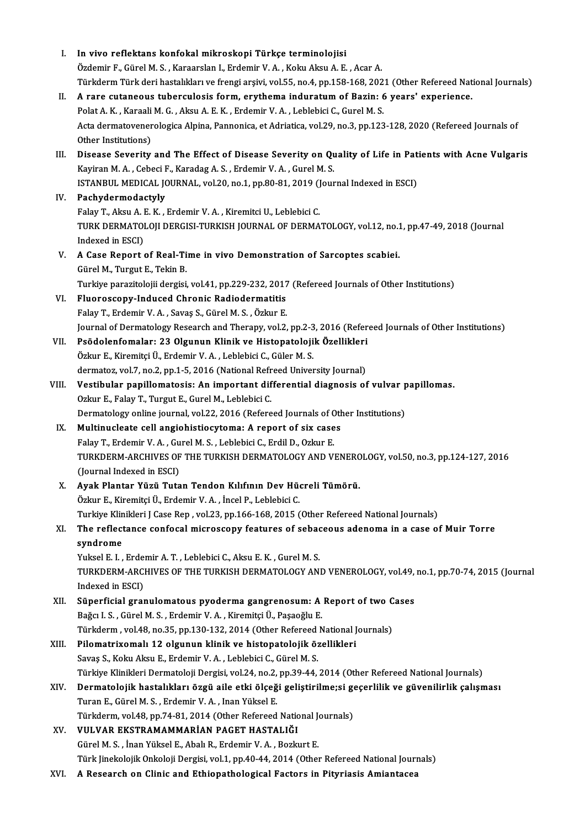| Ι.    | In vivo reflektans konfokal mikroskopi Türkçe terminolojisi                                                         |
|-------|---------------------------------------------------------------------------------------------------------------------|
|       | Özdemir F., Gürel M. S., Karaarslan I., Erdemir V. A., Koku Aksu A. E., Acar A.                                     |
|       | Türkderm Türk deri hastalıkları ve frengi arşivi, vol.55, no.4, pp.158-168, 2021 (Other Refereed National Journals) |
| П.    | A rare cutaneous tuberculosis form, erythema induratum of Bazin: 6 years' experience.                               |
|       | Polat A. K., Karaali M. G., Aksu A. E. K., Erdemir V. A., Leblebici C., Gurel M. S.                                 |
|       | Acta dermatovenerologica Alpina, Pannonica, et Adriatica, vol.29, no.3, pp.123-128, 2020 (Refereed Journals of      |
|       | Other Institutions)                                                                                                 |
| III.  | Disease Severity and The Effect of Disease Severity on Quality of Life in Patients with Acne Vulgaris               |
|       | Kayiran M. A., Cebeci F., Karadag A. S., Erdemir V. A., Gurel M. S.                                                 |
|       | ISTANBUL MEDICAL JOURNAL, vol.20, no.1, pp.80-81, 2019 (Journal Indexed in ESCI)                                    |
| IV.   | Pachydermodactyly                                                                                                   |
|       |                                                                                                                     |
|       | Falay T., Aksu A. E. K., Erdemir V. A., Kiremitci U., Leblebici C.                                                  |
|       | TURK DERMATOLOJI DERGISI-TURKISH JOURNAL OF DERMATOLOGY, vol.12, no.1, pp.47-49, 2018 (Journal                      |
|       | Indexed in ESCI)                                                                                                    |
| V.    | A Case Report of Real-Time in vivo Demonstration of Sarcoptes scabiei.                                              |
|       | Gürel M., Turgut E., Tekin B.                                                                                       |
|       | Turkiye parazitolojii dergisi, vol.41, pp.229-232, 2017 (Refereed Journals of Other Institutions)                   |
| VI.   | Fluoroscopy-Induced Chronic Radiodermatitis                                                                         |
|       | Falay T., Erdemir V. A., Savaş S., Gürel M. S., Özkur E.                                                            |
|       | Journal of Dermatology Research and Therapy, vol.2, pp.2-3, 2016 (Refereed Journals of Other Institutions)          |
| VII.  | Psödolenfomalar: 23 Olgunun Klinik ve Histopatolojik Özellikleri                                                    |
|       | Özkur E., Kiremitçi Ü., Erdemir V. A., Leblebici C., Güler M. S.                                                    |
|       | dermatoz, vol.7, no.2, pp.1-5, 2016 (National Refreed University Journal)                                           |
| VIII. | Vestibular papillomatosis: An important differential diagnosis of vulvar papillomas.                                |
|       | Ozkur E., Falay T., Turgut E., Gurel M., Leblebici C.                                                               |
|       | Dermatology online journal, vol.22, 2016 (Refereed Journals of Other Institutions)                                  |
| IX.   | Multinucleate cell angiohistiocytoma: A report of six cases                                                         |
|       | Falay T., Erdemir V. A., Gurel M. S., Leblebici C., Erdil D., Ozkur E.                                              |
|       | TURKDERM-ARCHIVES OF THE TURKISH DERMATOLOGY AND VENEROLOGY, vol.50, no.3, pp.124-127, 2016                         |
|       | (Journal Indexed in ESCI)                                                                                           |
| X.    | Ayak Plantar Yüzü Tutan Tendon Kılıfının Dev Hücreli Tümörü.                                                        |
|       | Özkur E., Kiremitçi Ü., Erdemir V. A., İncel P., Leblebici C.                                                       |
|       | Turkiye Klinikleri J Case Rep, vol.23, pp.166-168, 2015 (Other Refereed National Journals)                          |
| XI.   | The reflectance confocal microscopy features of sebaceous adenoma in a case of Muir Torre                           |
|       | syndrome                                                                                                            |
|       | Yuksel E. I., Erdemir A. T., Leblebici C., Aksu E. K., Gurel M. S.                                                  |
|       | TURKDERM-ARCHIVES OF THE TURKISH DERMATOLOGY AND VENEROLOGY, vol.49, no.1, pp.70-74, 2015 (Journal                  |
|       | Indexed in ESCI)                                                                                                    |
| XII.  | Süperficial granulomatous pyoderma gangrenosum: A Report of two Cases                                               |
|       | Bağcı I. S., Gürel M. S., Erdemir V. A., Kiremitçi Ü., Paşaoğlu E.                                                  |
|       | Türkderm, vol.48, no.35, pp.130-132, 2014 (Other Refereed National Journals)                                        |
| XIII. | Pilomatrixomalı 12 olgunun klinik ve histopatolojik özellikleri                                                     |
|       | Savaş S., Koku Aksu E., Erdemir V. A., Leblebici C., Gürel M. S.                                                    |
|       | Türkiye Klinikleri Dermatoloji Dergisi, vol.24, no.2, pp.39-44, 2014 (Other Refereed National Journals)             |
| XIV.  | Dermatolojik hastalıkları özgü aile etki ölçeği geliştirilme;si geçerlilik ve güvenilirlik çalışması                |
|       | Turan E., Gürel M. S., Erdemir V. A., Inan Yüksel E.                                                                |
|       | Türkderm, vol.48, pp.74-81, 2014 (Other Refereed National Journals)                                                 |
| XV.   | VULVAR EKSTRAMAMMARİAN PAGET HASTALIĞI                                                                              |
|       | Gürel M. S., İnan Yüksel E., Abalı R., Erdemir V. A., Bozkurt E.                                                    |
|       | Türk Jinekolojik Onkoloji Dergisi, vol.1, pp.40-44, 2014 (Other Refereed National Journals)                         |
| XVI.  | A Research on Clinic and Ethiopathological Factors in Pityriasis Amiantacea                                         |
|       |                                                                                                                     |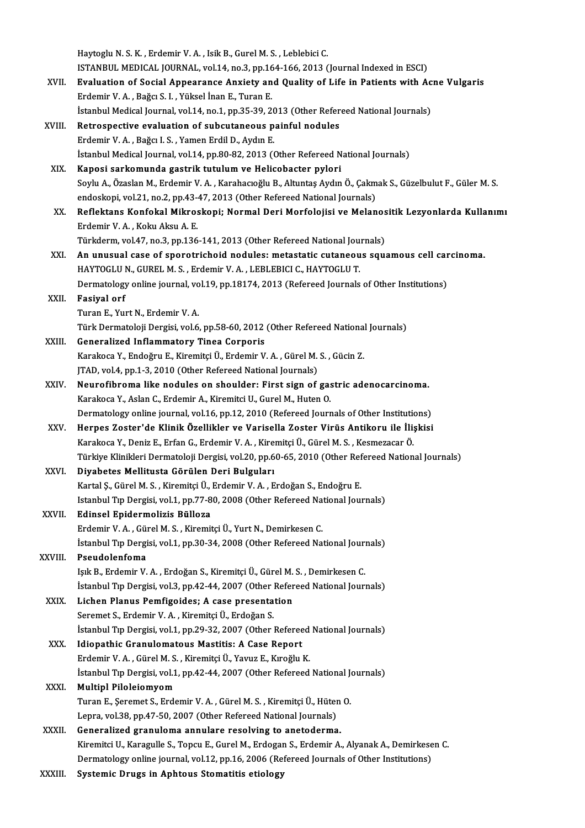|         | Haytoglu N. S. K., Erdemir V. A., Isik B., Gurel M. S., Leblebici C.                                           |
|---------|----------------------------------------------------------------------------------------------------------------|
|         | ISTANBUL MEDICAL JOURNAL, vol.14, no.3, pp.164-166, 2013 (Journal Indexed in ESCI)                             |
| XVII.   | Evaluation of Social Appearance Anxiety and Quality of Life in Patients with Acne Vulgaris                     |
|         | Erdemir V. A., Bağcı S. I., Yüksel İnan E., Turan E.                                                           |
|         | İstanbul Medical Journal, vol.14, no.1, pp.35-39, 2013 (Other Refereed National Journals)                      |
| XVIII.  | Retrospective evaluation of subcutaneous painful nodules                                                       |
|         | Erdemir V. A., Bağcı I. S., Yamen Erdil D., Aydın E.                                                           |
|         | İstanbul Medical Journal, vol.14, pp.80-82, 2013 (Other Refereed National Journals)                            |
| XIX.    | Kaposi sarkomunda gastrik tutulum ve Helicobacter pylori                                                       |
|         | Soylu A., Özaslan M., Erdemir V. A., Karahacıoğlu B., Altuntaş Aydın Ö., Çakmak S., Güzelbulut F., Güler M. S. |
|         | endoskopi, vol.21, no.2, pp.43-47, 2013 (Other Refereed National Journals)                                     |
| XX.     | Reflektans Konfokal Mikroskopi; Normal Deri Morfolojisi ve Melanositik Lezyonlarda Kullanımı                   |
|         | Erdemir V A , Koku Aksu A E                                                                                    |
|         | Türkderm, vol.47, no.3, pp.136-141, 2013 (Other Refereed National Journals)                                    |
| XXI.    | An unusual case of sporotrichoid nodules: metastatic cutaneous squamous cell carcinoma.                        |
|         | HAYTOGLU N., GUREL M. S., Erdemir V. A., LEBLEBICI C., HAYTOGLU T.                                             |
|         | Dermatology online journal, vol.19, pp.18174, 2013 (Refereed Journals of Other Institutions)                   |
| XXII.   | <b>Fasiyal orf</b>                                                                                             |
|         | Turan E., Yurt N., Erdemir V. A.                                                                               |
|         | Türk Dermatoloji Dergisi, vol.6, pp.58-60, 2012 (Other Refereed National Journals)                             |
| XXIII.  | <b>Generalized Inflammatory Tinea Corporis</b>                                                                 |
|         | Karakoca Y., Endoğru E., Kiremitçi Ü., Erdemir V. A., Gürel M. S., Gücin Z.                                    |
|         | JTAD, vol.4, pp.1-3, 2010 (Other Refereed National Journals)                                                   |
| XXIV.   | Neurofibroma like nodules on shoulder: First sign of gastric adenocarcinoma.                                   |
|         | Karakoca Y., Aslan C., Erdemir A., Kiremitci U., Gurel M., Huten O.                                            |
|         | Dermatology online journal, vol.16, pp.12, 2010 (Refereed Journals of Other Institutions)                      |
| XXV.    | Herpes Zoster'de Klinik Özellikler ve Varisella Zoster Virüs Antikoru ile İlişkisi                             |
|         | Karakoca Y., Deniz E., Erfan G., Erdemir V. A., Kiremitçi Ü., Gürel M. S., Kesmezacar Ö.                       |
|         | Türkiye Klinikleri Dermatoloji Dergisi, vol.20, pp.60-65, 2010 (Other Refereed National Journals)              |
| XXVI.   | Diyabetes Mellitusta Görülen Deri Bulguları                                                                    |
|         | Kartal Ş., Gürel M. S., Kiremitçi Ü., Erdemir V. A., Erdoğan S., Endoğru E.                                    |
|         | Istanbul Tip Dergisi, vol.1, pp.77-80, 2008 (Other Refereed National Journals)                                 |
| XXVII.  | Edinsel Epidermolizis Bülloza                                                                                  |
|         | Erdemir V. A., Gürel M. S., Kiremitçi Ü., Yurt N., Demirkesen C.                                               |
|         | İstanbul Tip Dergisi, vol.1, pp.30-34, 2008 (Other Refereed National Journals)                                 |
| XXVIII. | Pseudolenfoma                                                                                                  |
|         | Işık B., Erdemir V. A., Erdoğan S., Kiremitçi Ü., Gürel M. S., Demirkesen C.                                   |
|         | İstanbul Tip Dergisi, vol.3, pp.42-44, 2007 (Other Refereed National Journals)                                 |
| XXIX.   | Lichen Planus Pemfigoides; A case presentation                                                                 |
|         | Seremet S., Erdemir V. A., Kiremitçi Ü., Erdoğan S.                                                            |
|         | İstanbul Tıp Dergisi, vol.1, pp.29-32, 2007 (Other Refereed National Journals)                                 |
| XXX.    | Idiopathic Granulomatous Mastitis: A Case Report                                                               |
|         | Erdemir V. A., Gürel M. S., Kiremitçi Ü., Yavuz E., Kıroğlu K.                                                 |
| XXXI.   | İstanbul Tıp Dergisi, vol.1, pp.42-44, 2007 (Other Refereed National Journals)<br><b>Multipl Piloleiomyom</b>  |
|         | Turan E., Şeremet S., Erdemir V. A., Gürel M. S., Kiremitçi Ü., Hüten O.                                       |
|         | Lepra, vol.38, pp.47-50, 2007 (Other Refereed National Journals)                                               |
| XXXII.  | Generalized granuloma annulare resolving to anetoderma.                                                        |
|         | Kiremitci U., Karagulle S., Topcu E., Gurel M., Erdogan S., Erdemir A., Alyanak A., Demirkesen C.              |
|         | Dermatology online journal, vol.12, pp.16, 2006 (Refereed Journals of Other Institutions)                      |
| XXXIII. | Systemic Drugs in Aphtous Stomatitis etiology                                                                  |
|         |                                                                                                                |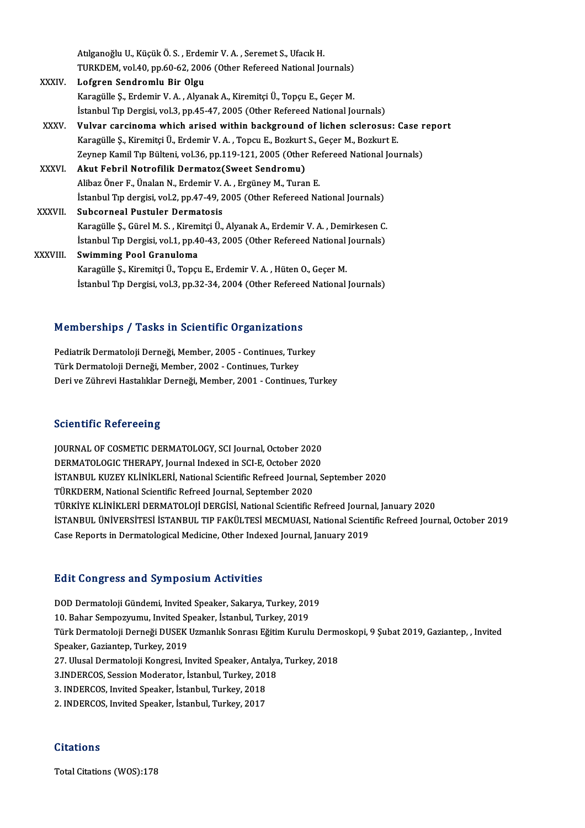Atılganoğlu U., Küçük Ö. S. , Erdemir V. A. , Seremet S., Ufacık H.<br>TURKDEM, vel 40, np 60,62,2006 (Other Befereed National Je TURKDEM, vol.40, pp.60-62, 2006 (Other Refereed National Journals)<br>Lofgren Sendromlu Bir Olgu Atılganoğlu U., Küçük Ö. S. , Erder<br>TURKDEM, vol.40, pp.60-62, 200<br>XXXIV. Lofgren Sendromlu Bir Olgu

- Karagüle Ş.,ErdemirV.A. ,AlyanakA.,KiremitçiÜ.,TopçuE.,GeçerM. İstanbul Tıp Dergisi, vol.3, pp.45-47, 2005 (Other Refereed National Journals) Karagülle Ş., Erdemir V. A. , Alyanak A., Kiremitçi Ü., Topçu E., Geçer M.<br>İstanbul Tıp Dergisi, vol.3, pp.45-47, 2005 (Other Refereed National Journals)<br>XXXV. Vulvar carcinoma which arised within background of lichen
- İstanbul Tıp Dergisi, vol.3, pp.45-47, 2005 (Other Refereed National Journals)<br>Vulvar carcinoma which arised within background of lichen sclerosus: (Karagülle Ş., Kiremitçi Ü., Erdemir V. A. , Topcu E., Bozkurt S., Geçer M Vulvar carcinoma which arised within background of lichen sclerosus: Case r<br>Karagülle Ș., Kiremitçi Ü., Erdemir V. A. , Topcu E., Bozkurt S., Geçer M., Bozkurt E.<br>Zeynep Kamil Tıp Bülteni, vol.36, pp.119-121, 2005 (Other R Karagülle Ş., Kiremitçi Ü., Erdemir V. A. , Topcu E., Bozkurt<br>Zeynep Kamil Tıp Bülteni, vol.36, pp.119-121, 2005 (Other<br>XXXVI. Akut Febril Notrofilik Dermatoz(Sweet Sendromu)

Zeynep Kamil Tıp Bülteni, vol.36, pp.119-121, 2005 (Other Re<br>**Akut Febril Notrofilik Dermatoz(Sweet Sendromu)**<br>Alibaz Öner F., Ünalan N., Erdemir V. A. , Ergüney M., Turan E.<br>İstanbul Tıp dergisi vol.2, pp.47,49, 2005 (Oth İstanbul Tıp dergisi, vol.2, pp.47-49, 2005 (Other Refereed National Journals)<br>Subcorneal Pustuler Dermatosis Alibaz Öner F., Ünalan N., Erdemir V. A. , Ergüney M., Turan E.<br>İstanbul Tıp dergisi, vol.2, pp.47-49, 2005 (Other Refereed Na<br>XXXVII. 8ubcorneal Pustuler Dermatosis

Karagüle Ş.,GürelM.S. ,KiremitçiÜ.,AlyanakA.,ErdemirV.A. ,DemirkesenC. Subcorneal Pustuler Dermatosis<br>Karagülle Ş., Gürel M. S. , Kiremitçi Ü., Alyanak A., Erdemir V. A. , Demirkesen C.<br>İstanbul Tıp Dergisi, vol.1, pp.40-43, 2005 (Other Refereed National Journals)<br>Syrimming Pool Cronulome Karagülle Ş., Gürel M. S. , Kirem<br>İstanbul Tıp Dergisi, vol.1, pp.4<br>XXXVIII. Swimming Pool Granuloma

İstanbul Tıp Dergisi, vol.1, pp.40-43, 2005 (Other Refereed National<br>Swimming Pool Granuloma<br>Karagülle Ş., Kiremitçi Ü., Topçu E., Erdemir V. A. , Hüten O., Geçer M.<br>İstanbul Tıp Dergisi, vol 3, np.32, 34, 2004 (Other Refe Swimming Pool Granuloma<br>Karagülle Ş., Kiremitçi Ü., Topçu E., Erdemir V. A. , Hüten O., Geçer M.<br>İstanbul Tıp Dergisi, vol.3, pp.32-34, 2004 (Other Refereed National Journals)

# istanbul lip Dergisi, vol.3, pp.32-34, 2004 (Other Referee<br>Memberships / Tasks in Scientific Organizations

Memberships / Tasks in Scientific Organizations<br>Pediatrik Dermatoloji Derneği, Member, 2005 - Continues, Turkey<br>Türk Dermatoloji Derneği, Member, 2002, Continues, Turkey Pediatrik Dermatoloji Derneği, Member, 2005 - Continues, Turkey<br>Türk Dermatoloji Derneği, Member, 2002 - Continues, Turkey Deri ve Zührevi Hastalıklar Derneği, Member, 2001 - Continues, Turkey

## **Scientific Refereeing**

Scientific Refereeing<br>JOURNAL OF COSMETIC DERMATOLOGY, SCI Journal, October 2020<br>DERMATOLOGIC THERAPY, Journal Indoved in SCLE October 2020 DERMATOLOGICTHER<br>JOURNAL OF COSMETIC DERMATOLOGY, SCI Journal, October 2020<br>DERMATOLOGIC THERAPY, Journal Indexed in SCI-E, October 2020<br>ISTANPUL KUZEV KLİNİKLERİ National Scientific Befreed Journal S İSTANBUL KUZEY KLİNİKLERİ, National Scientific Refreed Journal, September 2020<br>TÜRKDERM, National Scientific Refreed Journal, September 2020 DERMATOLOGIC THERAPY, Journal Indexed in SCI-E, October 2020 İSTANBUL KUZEY KLİNİKLERİ, National Scientific Refreed Journal, September 2020<br>TÜRKDERM, National Scientific Refreed Journal, September 2020<br>TÜRKİYE KLİNİKLERİ DERMATOLOJİ DERGİSİ, National Scientific Refreed Journal, Janu İSTANBUL ÜNİVERSİTESİ İSTANBUL TIP FAKÜLTESİ MECMUASI, National Scientific Refreed Journal, October 2019<br>Case Reports in Dermatological Medicine, Other Indexed Journal, January 2019 TÜRKİYE KLİNİKLERİ DERMATOLOJİ DERGİSİ, National Scientific Refreed Journ;<br>İSTANBUL ÜNİVERSİTESİ İSTANBUL TIP FAKÜLTESİ MECMUASI, National Scient<br>Case Reports in Dermatological Medicine, Other Indexed Journal, January 2019

## Edit Congress and SymposiumActivities

DOD Dermatoloji Gündemi, Invited Speaker, Sakarya, Turkey, 2019 19. Bahar Sempozyumu, Invited Speaker, Sakarya, Turkey, 2013<br>10. Bahar Sempozyumu, Invited Speaker, Sakarya, Turkey, 2019<br>Türk Dermatoloji Derneği DISEK Urmanlık Senrecu Eğitim Kurulı Türk Dermatoloji Derneği DUSEK Uzmanlık Sonrası Eğitim Kurulu Dermoskopi, 9 Şubat 2019, Gaziantep, , Invited<br>Speaker, Gaziantep, Turkey, 2019 10. Bahar Sempozyumu, Invited S<sub>I</sub><br>Türk Dermatoloji Derneği DUSEK<br>Speaker, Gaziantep, Turkey, 2019<br><sup>27. Hureal Dermatoloji Kongresi, I</sup> Türk Dermatoloji Derneği DUSEK Uzmanlık Sonrası Eğitim Kurulu Derme<br>Speaker, Gaziantep, Turkey, 2019<br>27. Ulusal Dermatoloji Kongresi, Invited Speaker, Antalya, Turkey, 2018<br>2. INDERCOS, Session Moderator, İstanbul, Turkey, Speaker, Gaziantep, Turkey, 2019<br>27. Ulusal Dermatoloji Kongresi, Invited Speaker, Antalya<br>3.INDERCOS, Session Moderator, İstanbul, Turkey, 2018<br>3. INDERCOS, İnvited Speaker, İstanbul, Turkey, 2019 27. Ulusal Dermatoloji Kongresi, Invited Speaker, Anta<br>3.INDERCOS, Session Moderator, İstanbul, Turkey, 201<br>3. INDERCOS, Invited Speaker, İstanbul, Turkey, 2018<br>2. INDERCOS, Invited Speaker, İstanbul, Turkey, 2017 3.INDERCOS, Session Moderator, İstanbul, Turkey, 2018<br>3. INDERCOS, Invited Speaker, İstanbul, Turkey, 2018<br>2. INDERCOS, Invited Speaker, İstanbul, Turkey, 2017

## **Citations**

Total Citations (WOS):178